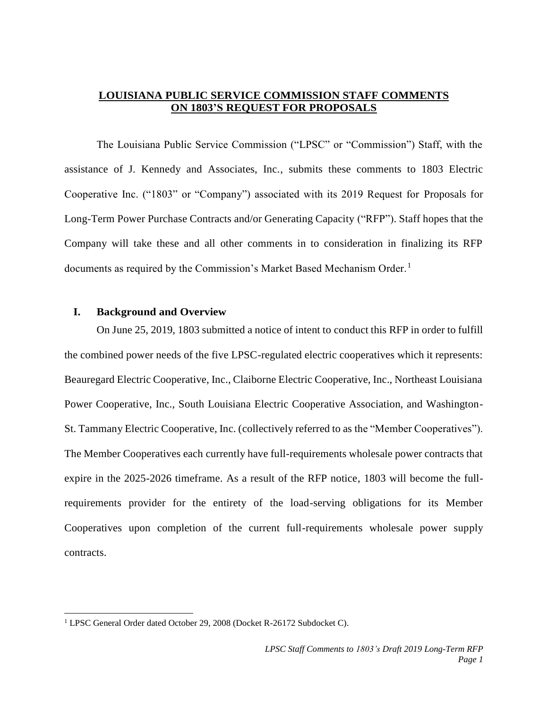# **LOUISIANA PUBLIC SERVICE COMMISSION STAFF COMMENTS ON 1803'S REQUEST FOR PROPOSALS**

The Louisiana Public Service Commission ("LPSC" or "Commission") Staff, with the assistance of J. Kennedy and Associates, Inc., submits these comments to 1803 Electric Cooperative Inc. ("1803" or "Company") associated with its 2019 Request for Proposals for Long-Term Power Purchase Contracts and/or Generating Capacity ("RFP"). Staff hopes that the Company will take these and all other comments in to consideration in finalizing its RFP documents as required by the Commission's Market Based Mechanism Order.<sup>1</sup>

# **I. Background and Overview**

On June 25, 2019, 1803 submitted a notice of intent to conduct this RFP in order to fulfill the combined power needs of the five LPSC-regulated electric cooperatives which it represents: Beauregard Electric Cooperative, Inc., Claiborne Electric Cooperative, Inc., Northeast Louisiana Power Cooperative, Inc., South Louisiana Electric Cooperative Association, and Washington-St. Tammany Electric Cooperative, Inc. (collectively referred to as the "Member Cooperatives"). The Member Cooperatives each currently have full-requirements wholesale power contracts that expire in the 2025-2026 timeframe. As a result of the RFP notice, 1803 will become the fullrequirements provider for the entirety of the load-serving obligations for its Member Cooperatives upon completion of the current full-requirements wholesale power supply contracts.

 $\overline{\phantom{a}}$ 

<sup>&</sup>lt;sup>1</sup> LPSC General Order dated October 29, 2008 (Docket R-26172 Subdocket C).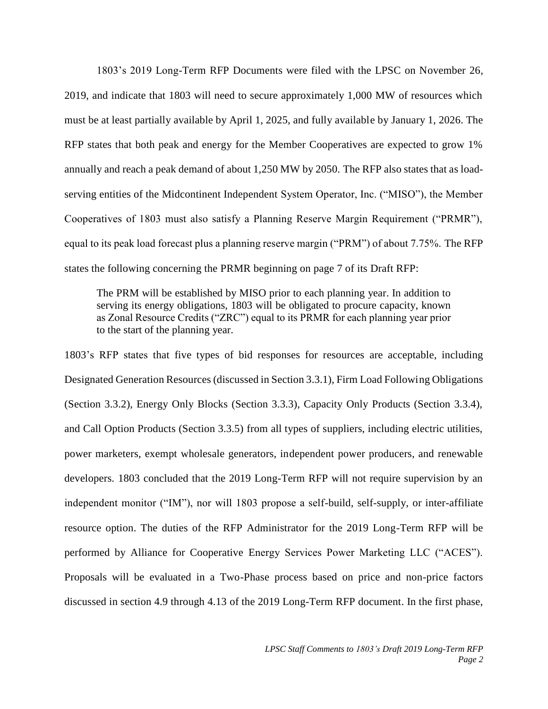1803's 2019 Long-Term RFP Documents were filed with the LPSC on November 26, 2019, and indicate that 1803 will need to secure approximately 1,000 MW of resources which must be at least partially available by April 1, 2025, and fully available by January 1, 2026. The RFP states that both peak and energy for the Member Cooperatives are expected to grow 1% annually and reach a peak demand of about 1,250 MW by 2050. The RFP also states that as loadserving entities of the Midcontinent Independent System Operator, Inc. ("MISO"), the Member Cooperatives of 1803 must also satisfy a Planning Reserve Margin Requirement ("PRMR"), equal to its peak load forecast plus a planning reserve margin ("PRM") of about 7.75%. The RFP states the following concerning the PRMR beginning on page 7 of its Draft RFP:

The PRM will be established by MISO prior to each planning year. In addition to serving its energy obligations, 1803 will be obligated to procure capacity, known as Zonal Resource Credits ("ZRC") equal to its PRMR for each planning year prior to the start of the planning year.

1803's RFP states that five types of bid responses for resources are acceptable, including Designated Generation Resources (discussed in Section 3.3.1), Firm Load Following Obligations (Section 3.3.2), Energy Only Blocks (Section 3.3.3), Capacity Only Products (Section 3.3.4), and Call Option Products (Section 3.3.5) from all types of suppliers, including electric utilities, power marketers, exempt wholesale generators, independent power producers, and renewable developers. 1803 concluded that the 2019 Long-Term RFP will not require supervision by an independent monitor ("IM"), nor will 1803 propose a self-build, self-supply, or inter-affiliate resource option. The duties of the RFP Administrator for the 2019 Long-Term RFP will be performed by Alliance for Cooperative Energy Services Power Marketing LLC ("ACES"). Proposals will be evaluated in a Two-Phase process based on price and non-price factors discussed in section 4.9 through 4.13 of the 2019 Long-Term RFP document. In the first phase,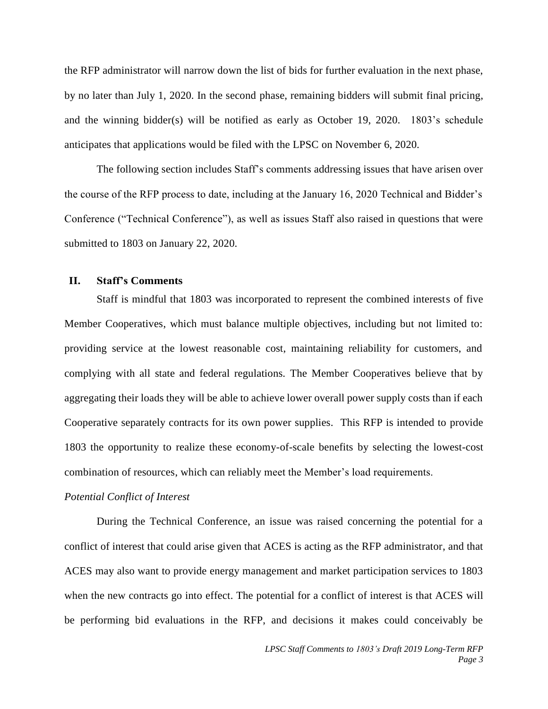the RFP administrator will narrow down the list of bids for further evaluation in the next phase, by no later than July 1, 2020. In the second phase, remaining bidders will submit final pricing, and the winning bidder(s) will be notified as early as October 19, 2020. 1803's schedule anticipates that applications would be filed with the LPSC on November 6, 2020.

The following section includes Staff's comments addressing issues that have arisen over the course of the RFP process to date, including at the January 16, 2020 Technical and Bidder's Conference ("Technical Conference"), as well as issues Staff also raised in questions that were submitted to 1803 on January 22, 2020.

# **II. Staff's Comments**

Staff is mindful that 1803 was incorporated to represent the combined interests of five Member Cooperatives, which must balance multiple objectives, including but not limited to: providing service at the lowest reasonable cost, maintaining reliability for customers, and complying with all state and federal regulations. The Member Cooperatives believe that by aggregating their loads they will be able to achieve lower overall power supply costs than if each Cooperative separately contracts for its own power supplies. This RFP is intended to provide 1803 the opportunity to realize these economy-of-scale benefits by selecting the lowest-cost combination of resources, which can reliably meet the Member's load requirements.

## *Potential Conflict of Interest*

During the Technical Conference, an issue was raised concerning the potential for a conflict of interest that could arise given that ACES is acting as the RFP administrator, and that ACES may also want to provide energy management and market participation services to 1803 when the new contracts go into effect. The potential for a conflict of interest is that ACES will be performing bid evaluations in the RFP, and decisions it makes could conceivably be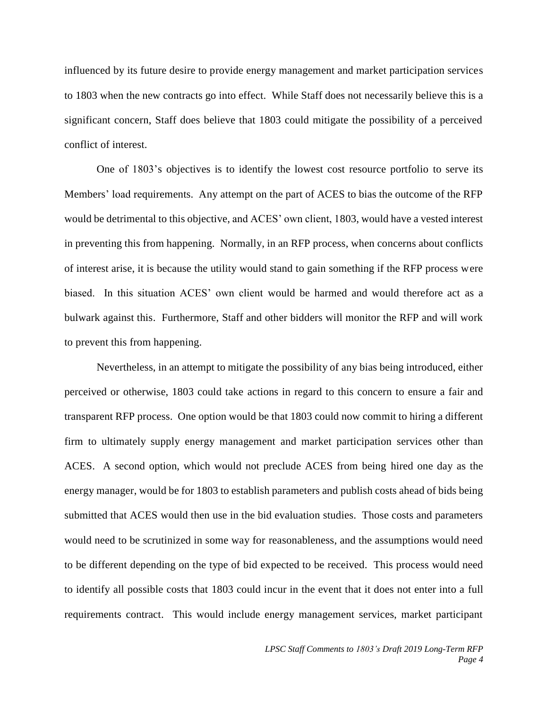influenced by its future desire to provide energy management and market participation services to 1803 when the new contracts go into effect. While Staff does not necessarily believe this is a significant concern, Staff does believe that 1803 could mitigate the possibility of a perceived conflict of interest.

One of 1803's objectives is to identify the lowest cost resource portfolio to serve its Members' load requirements. Any attempt on the part of ACES to bias the outcome of the RFP would be detrimental to this objective, and ACES' own client, 1803, would have a vested interest in preventing this from happening. Normally, in an RFP process, when concerns about conflicts of interest arise, it is because the utility would stand to gain something if the RFP process were biased. In this situation ACES' own client would be harmed and would therefore act as a bulwark against this. Furthermore, Staff and other bidders will monitor the RFP and will work to prevent this from happening.

Nevertheless, in an attempt to mitigate the possibility of any bias being introduced, either perceived or otherwise, 1803 could take actions in regard to this concern to ensure a fair and transparent RFP process. One option would be that 1803 could now commit to hiring a different firm to ultimately supply energy management and market participation services other than ACES. A second option, which would not preclude ACES from being hired one day as the energy manager, would be for 1803 to establish parameters and publish costs ahead of bids being submitted that ACES would then use in the bid evaluation studies. Those costs and parameters would need to be scrutinized in some way for reasonableness, and the assumptions would need to be different depending on the type of bid expected to be received. This process would need to identify all possible costs that 1803 could incur in the event that it does not enter into a full requirements contract. This would include energy management services, market participant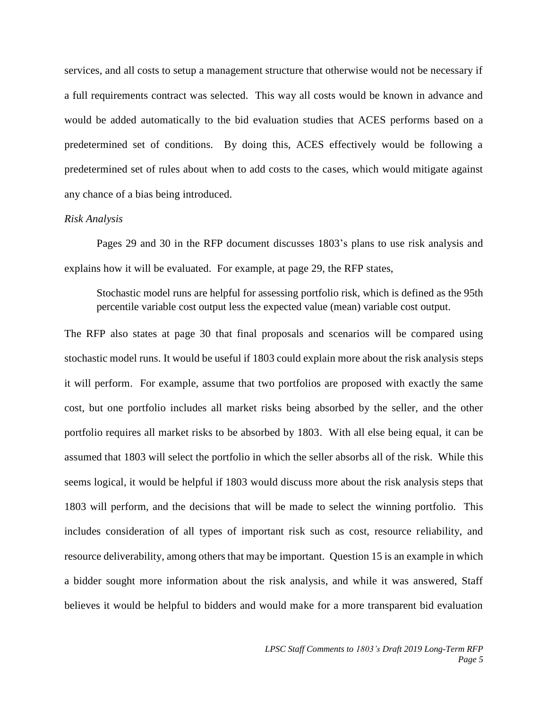services, and all costs to setup a management structure that otherwise would not be necessary if a full requirements contract was selected. This way all costs would be known in advance and would be added automatically to the bid evaluation studies that ACES performs based on a predetermined set of conditions. By doing this, ACES effectively would be following a predetermined set of rules about when to add costs to the cases, which would mitigate against any chance of a bias being introduced.

#### *Risk Analysis*

Pages 29 and 30 in the RFP document discusses 1803's plans to use risk analysis and explains how it will be evaluated. For example, at page 29, the RFP states,

Stochastic model runs are helpful for assessing portfolio risk, which is defined as the 95th percentile variable cost output less the expected value (mean) variable cost output.

The RFP also states at page 30 that final proposals and scenarios will be compared using stochastic model runs. It would be useful if 1803 could explain more about the risk analysis steps it will perform. For example, assume that two portfolios are proposed with exactly the same cost, but one portfolio includes all market risks being absorbed by the seller, and the other portfolio requires all market risks to be absorbed by 1803. With all else being equal, it can be assumed that 1803 will select the portfolio in which the seller absorbs all of the risk. While this seems logical, it would be helpful if 1803 would discuss more about the risk analysis steps that 1803 will perform, and the decisions that will be made to select the winning portfolio. This includes consideration of all types of important risk such as cost, resource reliability, and resource deliverability, among others that may be important. Question 15 is an example in which a bidder sought more information about the risk analysis, and while it was answered, Staff believes it would be helpful to bidders and would make for a more transparent bid evaluation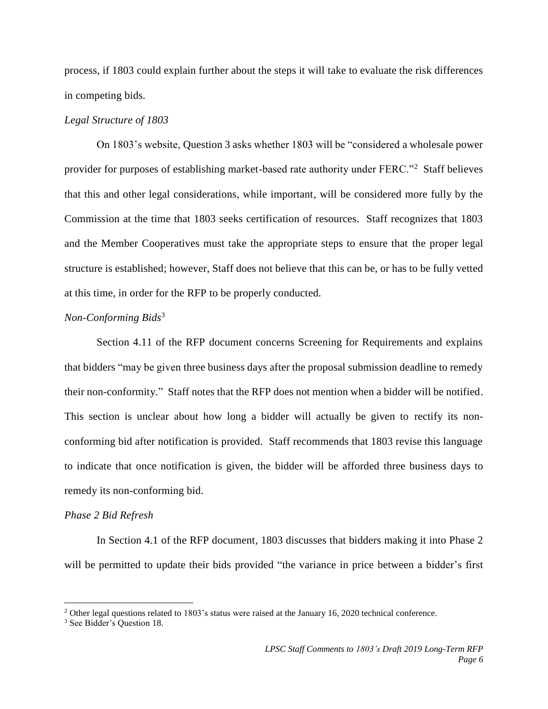process, if 1803 could explain further about the steps it will take to evaluate the risk differences in competing bids.

## *Legal Structure of 1803*

On 1803's website, Question 3 asks whether 1803 will be "considered a wholesale power provider for purposes of establishing market-based rate authority under FERC."<sup>2</sup> Staff believes that this and other legal considerations, while important, will be considered more fully by the Commission at the time that 1803 seeks certification of resources. Staff recognizes that 1803 and the Member Cooperatives must take the appropriate steps to ensure that the proper legal structure is established; however, Staff does not believe that this can be, or has to be fully vetted at this time, in order for the RFP to be properly conducted.

#### *Non-Conforming Bids*<sup>3</sup>

Section 4.11 of the RFP document concerns Screening for Requirements and explains that bidders "may be given three business days after the proposal submission deadline to remedy their non-conformity." Staff notes that the RFP does not mention when a bidder will be notified. This section is unclear about how long a bidder will actually be given to rectify its nonconforming bid after notification is provided. Staff recommends that 1803 revise this language to indicate that once notification is given, the bidder will be afforded three business days to remedy its non-conforming bid.

#### *Phase 2 Bid Refresh*

In Section 4.1 of the RFP document, 1803 discusses that bidders making it into Phase 2 will be permitted to update their bids provided "the variance in price between a bidder's first

 $\overline{\phantom{a}}$ 

<sup>&</sup>lt;sup>2</sup> Other legal questions related to 1803's status were raised at the January 16, 2020 technical conference.

<sup>3</sup> See Bidder's Question 18.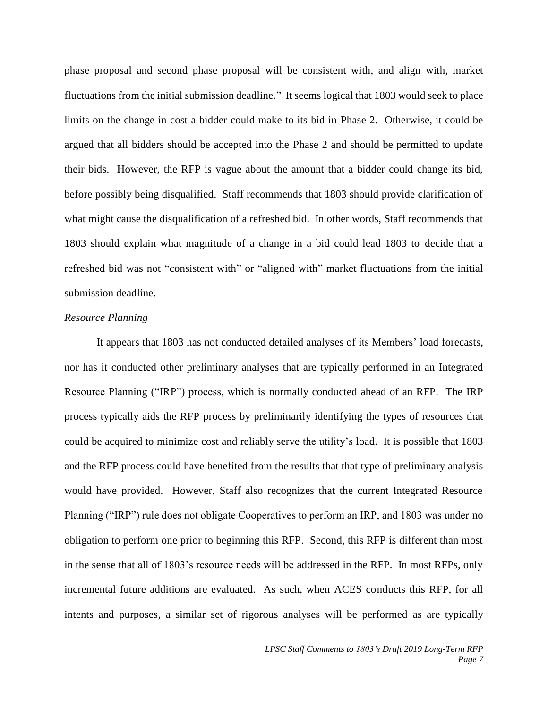phase proposal and second phase proposal will be consistent with, and align with, market fluctuations from the initial submission deadline." It seems logical that 1803 would seek to place limits on the change in cost a bidder could make to its bid in Phase 2. Otherwise, it could be argued that all bidders should be accepted into the Phase 2 and should be permitted to update their bids. However, the RFP is vague about the amount that a bidder could change its bid, before possibly being disqualified. Staff recommends that 1803 should provide clarification of what might cause the disqualification of a refreshed bid. In other words, Staff recommends that 1803 should explain what magnitude of a change in a bid could lead 1803 to decide that a refreshed bid was not "consistent with" or "aligned with" market fluctuations from the initial submission deadline.

#### *Resource Planning*

It appears that 1803 has not conducted detailed analyses of its Members' load forecasts, nor has it conducted other preliminary analyses that are typically performed in an Integrated Resource Planning ("IRP") process, which is normally conducted ahead of an RFP. The IRP process typically aids the RFP process by preliminarily identifying the types of resources that could be acquired to minimize cost and reliably serve the utility's load. It is possible that 1803 and the RFP process could have benefited from the results that that type of preliminary analysis would have provided. However, Staff also recognizes that the current Integrated Resource Planning ("IRP") rule does not obligate Cooperatives to perform an IRP, and 1803 was under no obligation to perform one prior to beginning this RFP. Second, this RFP is different than most in the sense that all of 1803's resource needs will be addressed in the RFP. In most RFPs, only incremental future additions are evaluated. As such, when ACES conducts this RFP, for all intents and purposes, a similar set of rigorous analyses will be performed as are typically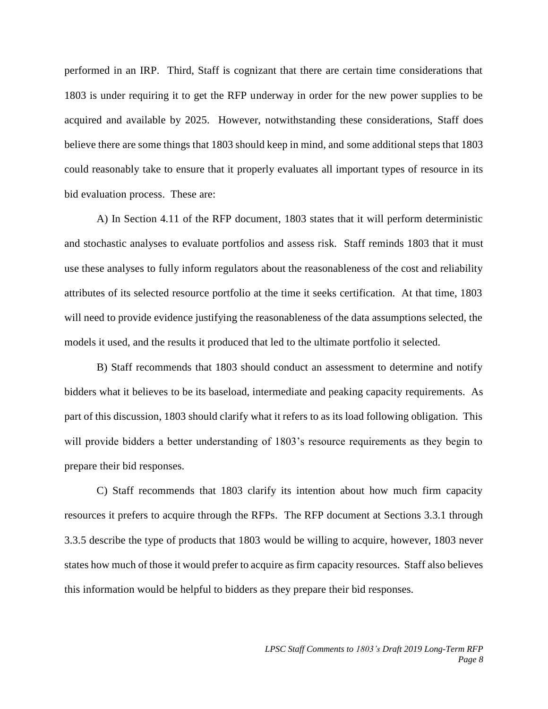performed in an IRP. Third, Staff is cognizant that there are certain time considerations that 1803 is under requiring it to get the RFP underway in order for the new power supplies to be acquired and available by 2025. However, notwithstanding these considerations, Staff does believe there are some things that 1803 should keep in mind, and some additional steps that 1803 could reasonably take to ensure that it properly evaluates all important types of resource in its bid evaluation process. These are:

A) In Section 4.11 of the RFP document, 1803 states that it will perform deterministic and stochastic analyses to evaluate portfolios and assess risk. Staff reminds 1803 that it must use these analyses to fully inform regulators about the reasonableness of the cost and reliability attributes of its selected resource portfolio at the time it seeks certification. At that time, 1803 will need to provide evidence justifying the reasonableness of the data assumptions selected, the models it used, and the results it produced that led to the ultimate portfolio it selected.

B) Staff recommends that 1803 should conduct an assessment to determine and notify bidders what it believes to be its baseload, intermediate and peaking capacity requirements. As part of this discussion, 1803 should clarify what it refers to as its load following obligation. This will provide bidders a better understanding of 1803's resource requirements as they begin to prepare their bid responses.

C) Staff recommends that 1803 clarify its intention about how much firm capacity resources it prefers to acquire through the RFPs. The RFP document at Sections 3.3.1 through 3.3.5 describe the type of products that 1803 would be willing to acquire, however, 1803 never states how much of those it would prefer to acquire as firm capacity resources. Staff also believes this information would be helpful to bidders as they prepare their bid responses.